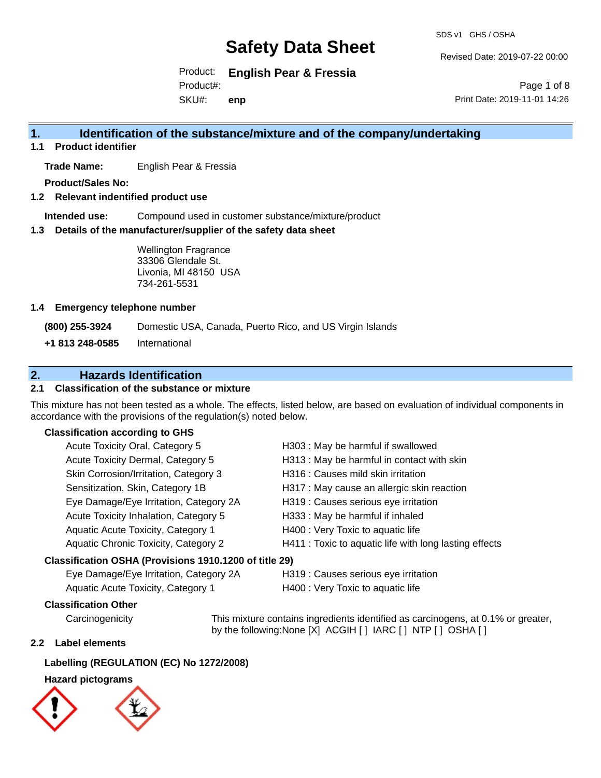SDS v1 GHS / OSHA

Revised Date: 2019-07-22 00:00

Product: **English Pear & Fressia** SKU#: Product#: **enp**

Page 1 of 8 Print Date: 2019-11-01 14:26

## **1. Identification of the substance/mixture and of the company/undertaking**

**1.1 Product identifier**

**Trade Name:** English Pear & Fressia

**Product/Sales No:**

**1.2 Relevant indentified product use**

**Intended use:** Compound used in customer substance/mixture/product

**1.3 Details of the manufacturer/supplier of the safety data sheet**

Wellington Fragrance 33306 Glendale St. Livonia, MI 48150 USA 734-261-5531

#### **1.4 Emergency telephone number**

**(800) 255-3924** Domestic USA, Canada, Puerto Rico, and US Virgin Islands

**+1 813 248-0585** International

## **2. Hazards Identification**

### **2.1 Classification of the substance or mixture**

This mixture has not been tested as a whole. The effects, listed below, are based on evaluation of individual components in accordance with the provisions of the regulation(s) noted below.

#### **Classification according to GHS**

| Acute Toxicity Oral, Category 5                        | H303 : May be harmful if swallowed                     |
|--------------------------------------------------------|--------------------------------------------------------|
| Acute Toxicity Dermal, Category 5                      | H313 : May be harmful in contact with skin             |
| Skin Corrosion/Irritation, Category 3                  | H316 : Causes mild skin irritation                     |
| Sensitization, Skin, Category 1B                       | H317 : May cause an allergic skin reaction             |
| Eye Damage/Eye Irritation, Category 2A                 | H319 : Causes serious eye irritation                   |
| Acute Toxicity Inhalation, Category 5                  | H333: May be harmful if inhaled                        |
| Aquatic Acute Toxicity, Category 1                     | H400 : Very Toxic to aquatic life                      |
| Aquatic Chronic Toxicity, Category 2                   | H411 : Toxic to aquatic life with long lasting effects |
| Classification OSHA (Provisions 1910.1200 of title 29) |                                                        |

Eye Damage/Eye Irritation, Category 2A H319 : Causes serious eye irritation

Aquatic Acute Toxicity, Category 1 H400 : Very Toxic to aquatic life

### **Classification Other**

Carcinogenicity This mixture contains ingredients identified as carcinogens, at 0.1% or greater, by the following:None [X] ACGIH [ ] IARC [ ] NTP [ ] OSHA [ ]

#### **2.2 Label elements**

#### **Labelling (REGULATION (EC) No 1272/2008)**

### **Hazard pictograms**

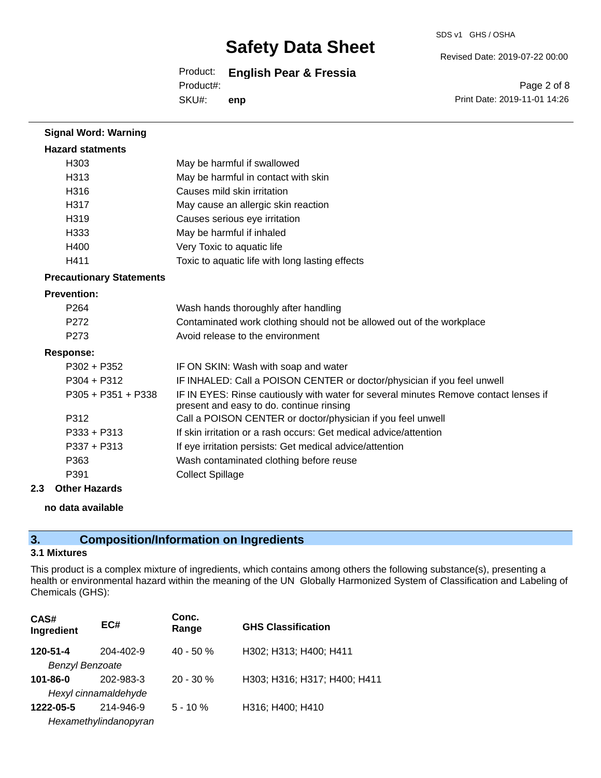SDS v1 GHS / OSHA

Revised Date: 2019-07-22 00:00

Product: **English Pear & Fressia** Product#:

SKU#: **enp**

Page 2 of 8 Print Date: 2019-11-01 14:26

| <b>Signal Word: Warning</b>     |                                                                                                                                  |
|---------------------------------|----------------------------------------------------------------------------------------------------------------------------------|
| <b>Hazard statments</b>         |                                                                                                                                  |
| H <sub>303</sub>                | May be harmful if swallowed                                                                                                      |
| H313                            | May be harmful in contact with skin                                                                                              |
| H316                            | Causes mild skin irritation                                                                                                      |
| H317                            | May cause an allergic skin reaction                                                                                              |
| H <sub>319</sub>                | Causes serious eye irritation                                                                                                    |
| H333                            | May be harmful if inhaled                                                                                                        |
| H400                            | Very Toxic to aquatic life                                                                                                       |
| H411                            | Toxic to aquatic life with long lasting effects                                                                                  |
| <b>Precautionary Statements</b> |                                                                                                                                  |
| <b>Prevention:</b>              |                                                                                                                                  |
| P264                            | Wash hands thoroughly after handling                                                                                             |
| P <sub>272</sub>                | Contaminated work clothing should not be allowed out of the workplace                                                            |
| P <sub>273</sub>                | Avoid release to the environment                                                                                                 |
| <b>Response:</b>                |                                                                                                                                  |
| $P302 + P352$                   | IF ON SKIN: Wash with soap and water                                                                                             |
| $P304 + P312$                   | IF INHALED: Call a POISON CENTER or doctor/physician if you feel unwell                                                          |
| $P305 + P351 + P338$            | IF IN EYES: Rinse cautiously with water for several minutes Remove contact lenses if<br>present and easy to do. continue rinsing |
| P312                            | Call a POISON CENTER or doctor/physician if you feel unwell                                                                      |
| $P333 + P313$                   | If skin irritation or a rash occurs: Get medical advice/attention                                                                |
| $P337 + P313$                   | If eye irritation persists: Get medical advice/attention                                                                         |
| P363                            | Wash contaminated clothing before reuse                                                                                          |
| P391                            | <b>Collect Spillage</b>                                                                                                          |

#### **2.3 Other Hazards**

#### **no data available**

## **3. Composition/Information on Ingredients**

### **3.1 Mixtures**

This product is a complex mixture of ingredients, which contains among others the following substance(s), presenting a health or environmental hazard within the meaning of the UN Globally Harmonized System of Classification and Labeling of Chemicals (GHS):

| CAS#<br>Ingredient     | EC#                   | Conc.<br>Range | <b>GHS Classification</b>    |
|------------------------|-----------------------|----------------|------------------------------|
| 120-51-4               | 204-402-9             | $40 - 50%$     | H302; H313; H400; H411       |
| <b>Benzyl Benzoate</b> |                       |                |                              |
| $101 - 86 - 0$         | 202-983-3             | $20 - 30 \%$   | H303; H316; H317; H400; H411 |
|                        | Hexyl cinnamaldehyde  |                |                              |
| 1222-05-5              | 214-946-9             | $5 - 10 \%$    | H316; H400; H410             |
|                        | Hexamethylindanopyran |                |                              |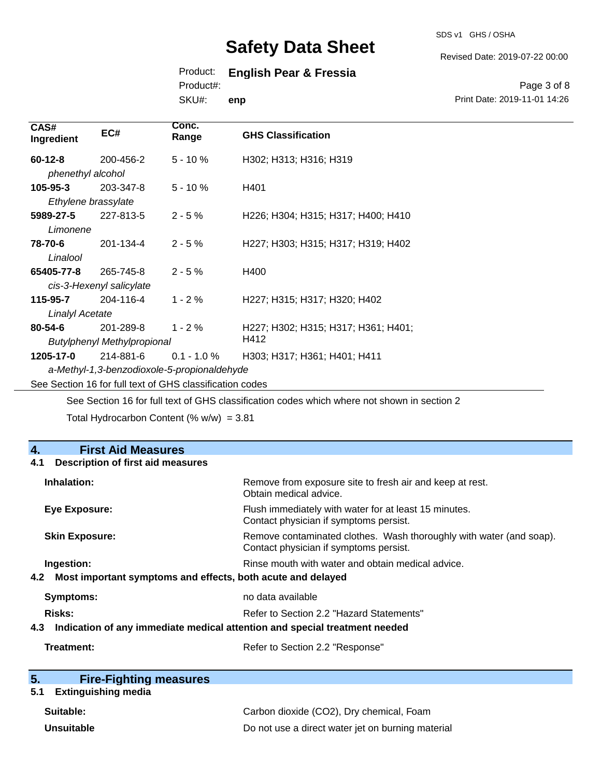SDS v1 GHS / OSHA

Revised Date: 2019-07-22 00:00

## Product: **English Pear & Fressia**

Product#:

SKU#: **enp**

Page 3 of 8 Print Date: 2019-11-01 14:26

| CAS#<br>Ingredient                                       | EC#       | Conc.<br>Range | <b>GHS Classification</b>           |
|----------------------------------------------------------|-----------|----------------|-------------------------------------|
| $60 - 12 - 8$                                            | 200-456-2 | $5 - 10%$      | H302; H313; H316; H319              |
| phenethyl alcohol                                        |           |                |                                     |
| $105 - 95 - 3$                                           | 203-347-8 | $5 - 10 \%$    | H401                                |
| Ethylene brassylate                                      |           |                |                                     |
| 5989-27-5                                                | 227-813-5 | $2 - 5%$       | H226; H304; H315; H317; H400; H410  |
| Limonene                                                 |           |                |                                     |
| 78-70-6                                                  | 201-134-4 | $2 - 5%$       | H227; H303; H315; H317; H319; H402  |
| Linalool                                                 |           |                |                                     |
| 65405-77-8                                               | 265-745-8 | $2 - 5%$       | H400                                |
| cis-3-Hexenyl salicylate                                 |           |                |                                     |
| 115-95-7                                                 | 204-116-4 | $1 - 2 \%$     | H227; H315; H317; H320; H402        |
| <b>Linalyl Acetate</b>                                   |           |                |                                     |
| $80 - 54 - 6$                                            | 201-289-8 | $1 - 2 \%$     | H227; H302; H315; H317; H361; H401; |
| H412<br><b>Butylphenyl Methylpropional</b>               |           |                |                                     |
| 1205-17-0                                                | 214-881-6 | $0.1 - 1.0 \%$ | H303; H317; H361; H401; H411        |
| a-Methyl-1,3-benzodioxole-5-propionaldehyde              |           |                |                                     |
| See Section 16 for full text of GHS classification codes |           |                |                                     |

See Section 16 for full text of GHS classification codes which where not shown in section 2

Total Hydrocarbon Content (%  $w/w$ ) = 3.81

| 4.<br><b>First Aid Measures</b>                                                   |                                                                                                               |
|-----------------------------------------------------------------------------------|---------------------------------------------------------------------------------------------------------------|
| <b>Description of first aid measures</b><br>4.1                                   |                                                                                                               |
| Inhalation:                                                                       | Remove from exposure site to fresh air and keep at rest.<br>Obtain medical advice.                            |
| <b>Eye Exposure:</b>                                                              | Flush immediately with water for at least 15 minutes.<br>Contact physician if symptoms persist.               |
| <b>Skin Exposure:</b>                                                             | Remove contaminated clothes. Wash thoroughly with water (and soap).<br>Contact physician if symptoms persist. |
| Ingestion:                                                                        | Rinse mouth with water and obtain medical advice.                                                             |
| Most important symptoms and effects, both acute and delayed<br>4.2                |                                                                                                               |
| <b>Symptoms:</b>                                                                  | no data available                                                                                             |
| Risks:                                                                            | Refer to Section 2.2 "Hazard Statements"                                                                      |
| Indication of any immediate medical attention and special treatment needed<br>4.3 |                                                                                                               |
| Treatment:                                                                        | Refer to Section 2.2 "Response"                                                                               |

| 5. | <b>Fire-Fighting measures</b> |
|----|-------------------------------|
|    |                               |

## **5.1 Extinguishing media**

| Suitable:  | Carbon dioxide (CO2), Dry chemical, Foam          |
|------------|---------------------------------------------------|
| Unsuitable | Do not use a direct water jet on burning material |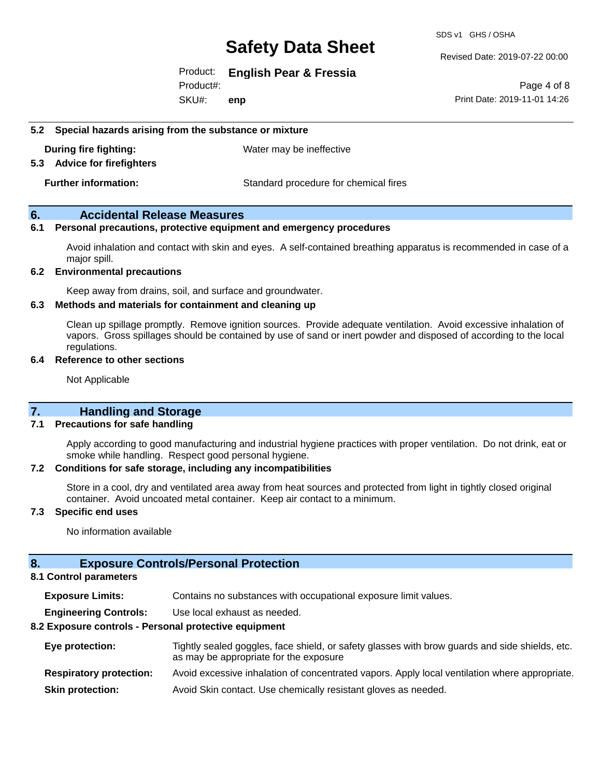SDS v1 GHS / OSHA

Revised Date: 2019-07-22 00:00

Product: **English Pear & Fressia**

SKU#: Product#: **enp**

Page 4 of 8 Print Date: 2019-11-01 14:26

#### **5.2 Special hazards arising from the substance or mixture**

**During fire fighting:** Water may be ineffective

#### **5.3 Advice for firefighters**

**Further information:** Standard procedure for chemical fires

### **6. Accidental Release Measures**

#### **6.1 Personal precautions, protective equipment and emergency procedures**

Avoid inhalation and contact with skin and eyes. A self-contained breathing apparatus is recommended in case of a major spill.

#### **6.2 Environmental precautions**

Keep away from drains, soil, and surface and groundwater.

#### **6.3 Methods and materials for containment and cleaning up**

Clean up spillage promptly. Remove ignition sources. Provide adequate ventilation. Avoid excessive inhalation of vapors. Gross spillages should be contained by use of sand or inert powder and disposed of according to the local regulations.

#### **6.4 Reference to other sections**

Not Applicable

### **7. Handling and Storage**

#### **7.1 Precautions for safe handling**

Apply according to good manufacturing and industrial hygiene practices with proper ventilation. Do not drink, eat or smoke while handling. Respect good personal hygiene.

#### **7.2 Conditions for safe storage, including any incompatibilities**

Store in a cool, dry and ventilated area away from heat sources and protected from light in tightly closed original container. Avoid uncoated metal container. Keep air contact to a minimum.

#### **7.3 Specific end uses**

No information available

#### **8. Exposure Controls/Personal Protection**

#### **8.1 Control parameters**

**Exposure Limits:** Contains no substances with occupational exposure limit values.

**Engineering Controls:** Use local exhaust as needed.

#### **8.2 Exposure controls - Personal protective equipment**

| Eye protection:                | Tightly sealed goggles, face shield, or safety glasses with brow guards and side shields, etc.<br>as may be appropriate for the exposure |
|--------------------------------|------------------------------------------------------------------------------------------------------------------------------------------|
| <b>Respiratory protection:</b> | Avoid excessive inhalation of concentrated vapors. Apply local ventilation where appropriate.                                            |
| <b>Skin protection:</b>        | Avoid Skin contact. Use chemically resistant gloves as needed.                                                                           |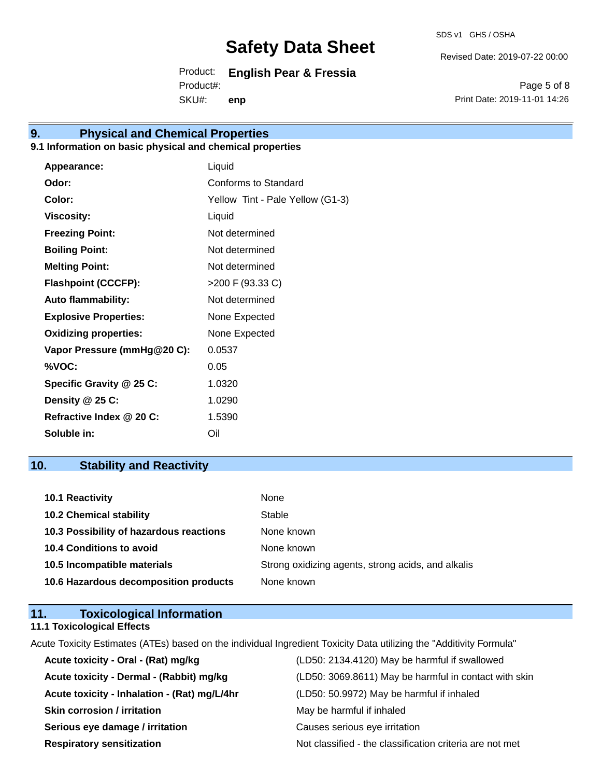Revised Date: 2019-07-22 00:00

Product: **English Pear & Fressia** SKU#: Product#: **enp**

Page 5 of 8 Print Date: 2019-11-01 14:26

## **9. Physical and Chemical Properties**

### **9.1 Information on basic physical and chemical properties**

| Appearance:                  | Liquid                           |
|------------------------------|----------------------------------|
| Odor:                        | Conforms to Standard             |
| Color:                       | Yellow Tint - Pale Yellow (G1-3) |
| <b>Viscosity:</b>            | Liquid                           |
| <b>Freezing Point:</b>       | Not determined                   |
| <b>Boiling Point:</b>        | Not determined                   |
| <b>Melting Point:</b>        | Not determined                   |
| <b>Flashpoint (CCCFP):</b>   | >200 F (93.33 C)                 |
| <b>Auto flammability:</b>    | Not determined                   |
| <b>Explosive Properties:</b> | None Expected                    |
| <b>Oxidizing properties:</b> | None Expected                    |
| Vapor Pressure (mmHg@20 C):  | 0.0537                           |
| %VOC:                        | 0.05                             |
| Specific Gravity @ 25 C:     | 1.0320                           |
| Density @ 25 C:              | 1.0290                           |
| Refractive Index @ 20 C:     | 1.5390                           |
| Soluble in:                  | Oil                              |

## **10. Stability and Reactivity**

| <b>10.1 Reactivity</b>                  | None                                               |
|-----------------------------------------|----------------------------------------------------|
| <b>10.2 Chemical stability</b>          | Stable                                             |
| 10.3 Possibility of hazardous reactions | None known                                         |
| <b>10.4 Conditions to avoid</b>         | None known                                         |
| 10.5 Incompatible materials             | Strong oxidizing agents, strong acids, and alkalis |
| 10.6 Hazardous decomposition products   | None known                                         |

| 11. | <b>Toxicological Information</b>  |  |
|-----|-----------------------------------|--|
|     | <b>11.1 Toxicological Effects</b> |  |

Acute Toxicity Estimates (ATEs) based on the individual Ingredient Toxicity Data utilizing the "Additivity Formula"

| Acute toxicity - Oral - (Rat) mg/kg          | (LD50: 2134.4120) May be harmful if swallowed            |
|----------------------------------------------|----------------------------------------------------------|
| Acute toxicity - Dermal - (Rabbit) mg/kg     | (LD50: 3069.8611) May be harmful in contact with skin    |
| Acute toxicity - Inhalation - (Rat) mg/L/4hr | (LD50: 50.9972) May be harmful if inhaled                |
| <b>Skin corrosion / irritation</b>           | May be harmful if inhaled                                |
| Serious eye damage / irritation              | Causes serious eye irritation                            |
| <b>Respiratory sensitization</b>             | Not classified - the classification criteria are not met |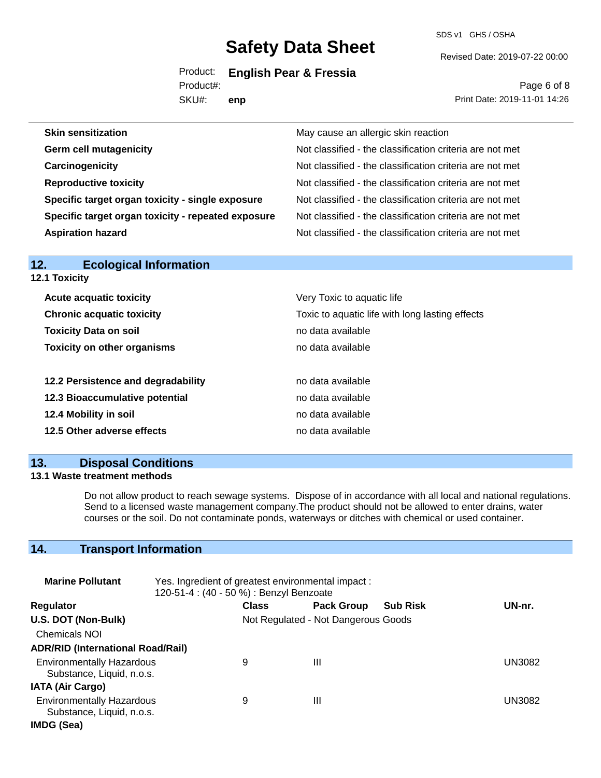SDS v1 GHS / OSHA

Revised Date: 2019-07-22 00:00

Product: **English Pear & Fressia** Product#:

SKU#: **enp**

Page 6 of 8 Print Date: 2019-11-01 14:26

| <b>Skin sensitization</b>                          | May cause an allergic skin reaction                      |
|----------------------------------------------------|----------------------------------------------------------|
| <b>Germ cell mutagenicity</b>                      | Not classified - the classification criteria are not met |
| Carcinogenicity                                    | Not classified - the classification criteria are not met |
| <b>Reproductive toxicity</b>                       | Not classified - the classification criteria are not met |
| Specific target organ toxicity - single exposure   | Not classified - the classification criteria are not met |
| Specific target organ toxicity - repeated exposure | Not classified - the classification criteria are not met |
| <b>Aspiration hazard</b>                           | Not classified - the classification criteria are not met |

| 12.<br>Ecological Information                                                       |                            |  |
|-------------------------------------------------------------------------------------|----------------------------|--|
| 12.1 Toxicity                                                                       |                            |  |
| <b>Acute acquatic toxicity</b>                                                      | Very Toxic to aquatic life |  |
| Toxic to aquatic life with long lasting effects<br><b>Chronic acquatic toxicity</b> |                            |  |
| <b>Toxicity Data on soil</b><br>no data available                                   |                            |  |
| <b>Toxicity on other organisms</b>                                                  | no data available          |  |
|                                                                                     |                            |  |
| 12.2 Persistence and degradability                                                  | no data available          |  |
| 12.3 Bioaccumulative potential                                                      | no data available          |  |
| 12.4 Mobility in soil                                                               | no data available          |  |
| 12.5 Other adverse effects                                                          | no data available          |  |
|                                                                                     |                            |  |

## **13. Disposal Conditions**

**12. Ecological Information** 

### **13.1 Waste treatment methods**

Do not allow product to reach sewage systems. Dispose of in accordance with all local and national regulations. Send to a licensed waste management company.The product should not be allowed to enter drains, water courses or the soil. Do not contaminate ponds, waterways or ditches with chemical or used container.

## **14. Transport Information**

| <b>Marine Pollutant</b>                                       | Yes. Ingredient of greatest environmental impact:<br>120-51-4 : (40 - 50 %) : Benzyl Benzoate |                                     |                   |                 |        |
|---------------------------------------------------------------|-----------------------------------------------------------------------------------------------|-------------------------------------|-------------------|-----------------|--------|
| <b>Regulator</b>                                              |                                                                                               | <b>Class</b>                        | <b>Pack Group</b> | <b>Sub Risk</b> | UN-nr. |
| U.S. DOT (Non-Bulk)                                           |                                                                                               | Not Regulated - Not Dangerous Goods |                   |                 |        |
| <b>Chemicals NOI</b>                                          |                                                                                               |                                     |                   |                 |        |
| <b>ADR/RID (International Road/Rail)</b>                      |                                                                                               |                                     |                   |                 |        |
| <b>Environmentally Hazardous</b><br>Substance, Liquid, n.o.s. |                                                                                               | 9                                   | Ш                 |                 | UN3082 |
| <b>IATA (Air Cargo)</b>                                       |                                                                                               |                                     |                   |                 |        |
| <b>Environmentally Hazardous</b><br>Substance, Liquid, n.o.s. |                                                                                               | 9                                   | Ш                 |                 | UN3082 |
| IMDG (Sea)                                                    |                                                                                               |                                     |                   |                 |        |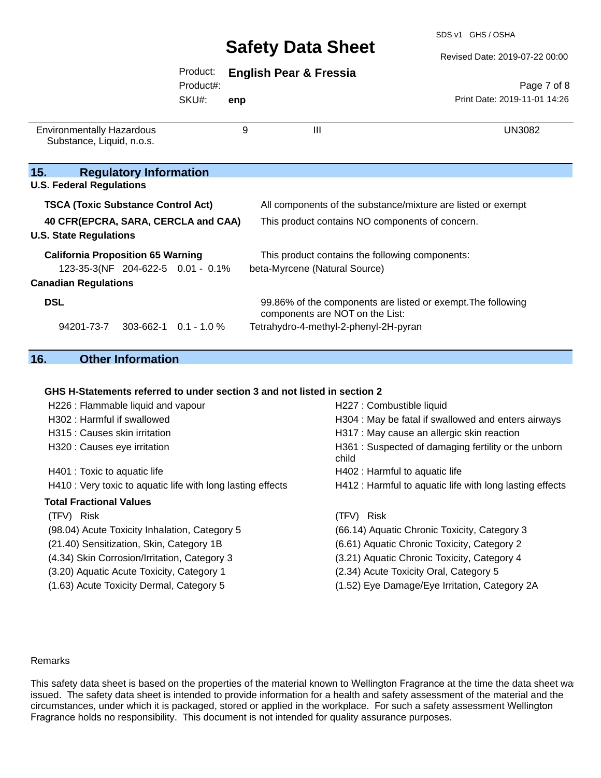SDS v1 GHS / OSHA

Revised Date: 2019-07-22 00:00

| Product: | <b>English Pear &amp; Fressia</b> |  |  |
|----------|-----------------------------------|--|--|
|----------|-----------------------------------|--|--|

Product#:

SKU#: **enp**

Page 7 of 8 Print Date: 2019-11-01 14:26

| <b>Environmentally Hazardous</b><br>Substance, Liquid, n.o.s. | 9              | Ш                                                                                               | UN3082 |
|---------------------------------------------------------------|----------------|-------------------------------------------------------------------------------------------------|--------|
| 15.<br><b>Regulatory Information</b>                          |                |                                                                                                 |        |
| <b>U.S. Federal Regulations</b>                               |                |                                                                                                 |        |
| <b>TSCA (Toxic Substance Control Act)</b>                     |                | All components of the substance/mixture are listed or exempt                                    |        |
| 40 CFR(EPCRA, SARA, CERCLA and CAA)                           |                | This product contains NO components of concern.                                                 |        |
| <b>U.S. State Regulations</b>                                 |                |                                                                                                 |        |
| <b>California Proposition 65 Warning</b>                      |                | This product contains the following components:                                                 |        |
| 123-35-3(NF 204-622-5 0.01 - 0.1%                             |                | beta-Myrcene (Natural Source)                                                                   |        |
| <b>Canadian Regulations</b>                                   |                |                                                                                                 |        |
| <b>DSL</b>                                                    |                | 99.86% of the components are listed or exempt. The following<br>components are NOT on the List: |        |
| 94201-73-7<br>303-662-1                                       | $0.1 - 1.0 \%$ | Tetrahydro-4-methyl-2-phenyl-2H-pyran                                                           |        |

## **16. Other Information**

#### **GHS H-Statements referred to under section 3 and not listed in section 2**

| H226 : Flammable liquid and vapour                          | H227 : Combustible liquid                                    |
|-------------------------------------------------------------|--------------------------------------------------------------|
| H302 : Harmful if swallowed                                 | H304 : May be fatal if swallowed and enters airways          |
| H315 : Causes skin irritation                               | H317 : May cause an allergic skin reaction                   |
| H320 : Causes eye irritation                                | H361: Suspected of damaging fertility or the unborn<br>child |
| H401 : Toxic to aquatic life                                | H402 : Harmful to aquatic life                               |
| H410 : Very toxic to aquatic life with long lasting effects | H412 : Harmful to aquatic life with long lasting effects     |
| <b>Total Fractional Values</b>                              |                                                              |
| (TFV) Risk                                                  | (TFV) Risk                                                   |
| (98.04) Acute Toxicity Inhalation, Category 5               | (66.14) Aquatic Chronic Toxicity, Category 3                 |
| (21.40) Sensitization, Skin, Category 1B                    | (6.61) Aquatic Chronic Toxicity, Category 2                  |
| (4.34) Skin Corrosion/Irritation, Category 3                | (3.21) Aquatic Chronic Toxicity, Category 4                  |
| (3.20) Aquatic Acute Toxicity, Category 1                   | (2.34) Acute Toxicity Oral, Category 5                       |
| (1.63) Acute Toxicity Dermal, Category 5                    | (1.52) Eye Damage/Eye Irritation, Category 2A                |

#### Remarks

This safety data sheet is based on the properties of the material known to Wellington Fragrance at the time the data sheet was issued. The safety data sheet is intended to provide information for a health and safety assessment of the material and the circumstances, under which it is packaged, stored or applied in the workplace. For such a safety assessment Wellington Fragrance holds no responsibility. This document is not intended for quality assurance purposes.